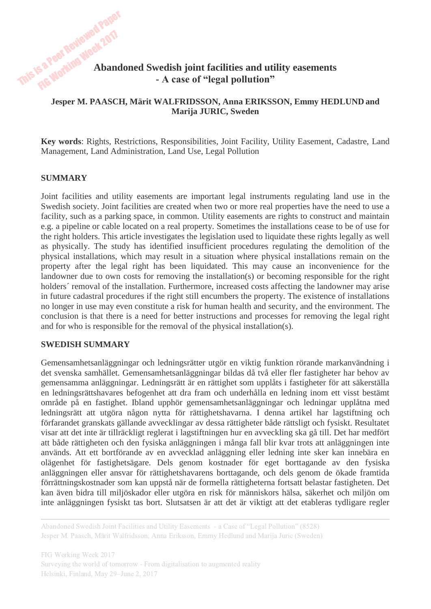# This is a Peer Reviewed Paper **Abandoned Swedish joint facilities and utility easements - A case of "legal pollution"**

## **Jesper M. PAASCH, Märit WALFRIDSSON, Anna ERIKSSON, Emmy HEDLUND and Marija JURIC, Sweden**

**Key words**: Rights, Restrictions, Responsibilities, Joint Facility, Utility Easement, Cadastre, Land Management, Land Administration, Land Use, Legal Pollution

#### **SUMMARY**

Joint facilities and utility easements are important legal instruments regulating land use in the Swedish society. Joint facilities are created when two or more real properties have the need to use a facility, such as a parking space, in common. Utility easements are rights to construct and maintain e.g. a pipeline or cable located on a real property. Sometimes the installations cease to be of use for the right holders. This article investigates the legislation used to liquidate these rights legally as well as physically. The study has identified insufficient procedures regulating the demolition of the physical installations, which may result in a situation where physical installations remain on the property after the legal right has been liquidated. This may cause an inconvenience for the landowner due to own costs for removing the installation(s) or becoming responsible for the right holders´ removal of the installation. Furthermore, increased costs affecting the landowner may arise in future cadastral procedures if the right still encumbers the property. The existence of installations no longer in use may even constitute a risk for human health and security, and the environment. The conclusion is that there is a need for better instructions and processes for removing the legal right and for who is responsible for the removal of the physical installation(s).

#### **SWEDISH SUMMARY**

Gemensamhetsanläggningar och ledningsrätter utgör en viktig funktion rörande markanvändning i det svenska samhället. Gemensamhetsanläggningar bildas då två eller fler fastigheter har behov av gemensamma anläggningar. Ledningsrätt är en rättighet som upplåts i fastigheter för att säkerställa en ledningsrättshavares befogenhet att dra fram och underhålla en ledning inom ett visst bestämt område på en fastighet. Ibland upphör gemensamhetsanläggningar och ledningar upplåtna med ledningsrätt att utgöra någon nytta för rättighetshavarna. I denna artikel har lagstiftning och förfarandet granskats gällande avvecklingar av dessa rättigheter både rättsligt och fysiskt. Resultatet visar att det inte är tillräckligt reglerat i lagstiftningen hur en avveckling ska gå till. Det har medfört att både rättigheten och den fysiska anläggningen i många fall blir kvar trots att anläggningen inte används. Att ett bortförande av en avvecklad anläggning eller ledning inte sker kan innebära en olägenhet för fastighetsägare. Dels genom kostnader för eget borttagande av den fysiska anläggningen eller ansvar för rättighetshavarens borttagande, och dels genom de ökade framtida förrättningskostnader som kan uppstå när de formella rättigheterna fortsatt belastar fastigheten. Det kan även bidra till miljöskador eller utgöra en risk för människors hälsa, säkerhet och miljön om inte anläggningen fysiskt tas bort. Slutsatsen är att det är viktigt att det etableras tydligare regler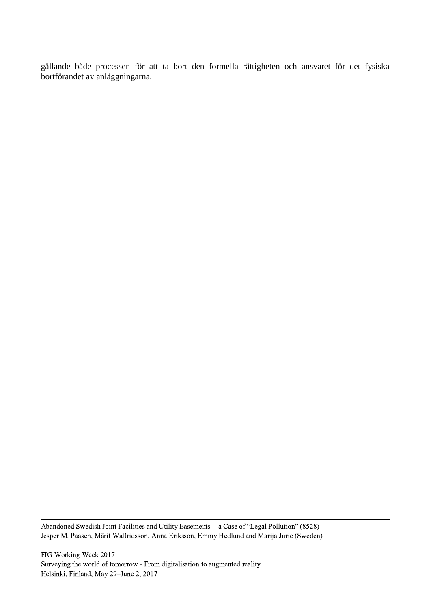gällande både processen för att ta bort den formella rättigheten och ansvaret för det fysiska bortförandet av anläggningarna.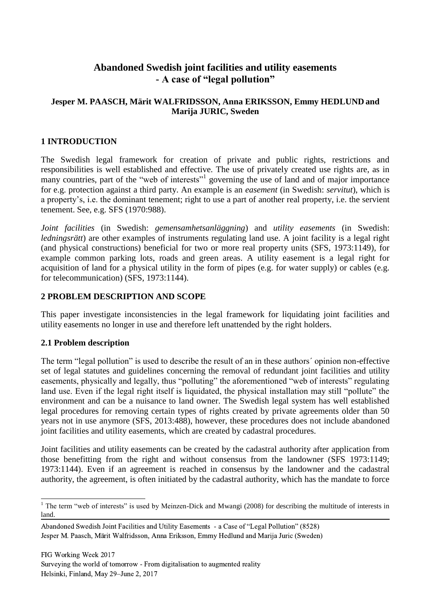## **Abandoned Swedish joint facilities and utility easements - A case of "legal pollution"**

## **Jesper M. PAASCH, Märit WALFRIDSSON, Anna ERIKSSON, Emmy HEDLUND and Marija JURIC, Sweden**

## **1 INTRODUCTION**

The Swedish legal framework for creation of private and public rights, restrictions and responsibilities is well established and effective. The use of privately created use rights are, as in many countries, part of the "web of interests"<sup>1</sup> governing the use of land and of major importance for e.g. protection against a third party. An example is an *easement* (in Swedish: *servitut*), which is a property's, i.e. the dominant tenement; right to use a part of another real property, i.e. the servient tenement. See, e.g. SFS (1970:988).

*Joint facilities* (in Swedish: *gemensamhetsanläggning*) and *utility easements* (in Swedish: *ledningsrätt*) are other examples of instruments regulating land use. A joint facility is a legal right (and physical constructions) beneficial for two or more real property units (SFS, 1973:1149), for example common parking lots, roads and green areas. A utility easement is a legal right for acquisition of land for a physical utility in the form of pipes (e.g. for water supply) or cables (e.g. for telecommunication) (SFS, 1973:1144).

#### **2 PROBLEM DESCRIPTION AND SCOPE**

This paper investigate inconsistencies in the legal framework for liquidating joint facilities and utility easements no longer in use and therefore left unattended by the right holders.

#### **2.1 Problem description**

-

The term "legal pollution" is used to describe the result of an in these authors´ opinion non-effective set of legal statutes and guidelines concerning the removal of redundant joint facilities and utility easements, physically and legally, thus "polluting" the aforementioned "web of interests" regulating land use. Even if the legal right itself is liquidated, the physical installation may still "pollute" the environment and can be a nuisance to land owner. The Swedish legal system has well established legal procedures for removing certain types of rights created by private agreements older than 50 years not in use anymore (SFS, 2013:488), however, these procedures does not include abandoned joint facilities and utility easements, which are created by cadastral procedures.

Joint facilities and utility easements can be created by the cadastral authority after application from those benefitting from the right and without consensus from the landowner (SFS 1973:1149; 1973:1144). Even if an agreement is reached in consensus by the landowner and the cadastral authority, the agreement, is often initiated by the cadastral authority, which has the mandate to force

 $1$  The term "web of interests" is used by Meinzen-Dick and Mwangi (2008) for describing the multitude of interests in land.

Abandoned Swedish Joint Facilities and Utility Easements - a Case of "Legal Pollution" (8528) Jesper M. Paasch, Märit Walfridsson, Anna Eriksson, Emmy Hedlund and Marija Juric (Sweden)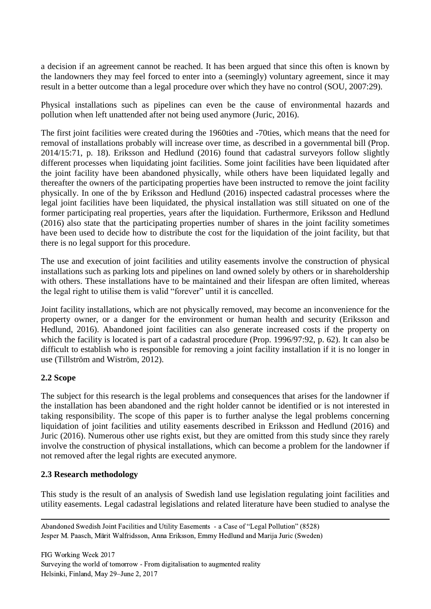a decision if an agreement cannot be reached. It has been argued that since this often is known by the landowners they may feel forced to enter into a (seemingly) voluntary agreement, since it may result in a better outcome than a legal procedure over which they have no control (SOU, 2007:29).

Physical installations such as pipelines can even be the cause of environmental hazards and pollution when left unattended after not being used anymore (Juric, 2016).

The first joint facilities were created during the 1960ties and -70ties, which means that the need for removal of installations probably will increase over time, as described in a governmental bill (Prop. 2014/15:71, p. 18). Eriksson and Hedlund (2016) found that cadastral surveyors follow slightly different processes when liquidating joint facilities. Some joint facilities have been liquidated after the joint facility have been abandoned physically, while others have been liquidated legally and thereafter the owners of the participating properties have been instructed to remove the joint facility physically. In one of the by Eriksson and Hedlund (2016) inspected cadastral processes where the legal joint facilities have been liquidated, the physical installation was still situated on one of the former participating real properties, years after the liquidation. Furthermore, Eriksson and Hedlund (2016) also state that the participating properties number of shares in the joint facility sometimes have been used to decide how to distribute the cost for the liquidation of the joint facility, but that there is no legal support for this procedure.

The use and execution of joint facilities and utility easements involve the construction of physical installations such as parking lots and pipelines on land owned solely by others or in shareholdership with others. These installations have to be maintained and their lifespan are often limited, whereas the legal right to utilise them is valid "forever" until it is cancelled.

Joint facility installations, which are not physically removed, may become an inconvenience for the property owner, or a danger for the environment or human health and security (Eriksson and Hedlund, 2016). Abandoned joint facilities can also generate increased costs if the property on which the facility is located is part of a cadastral procedure (Prop. 1996/97:92, p. 62). It can also be difficult to establish who is responsible for removing a joint facility installation if it is no longer in use (Tillström and Wiström, 2012).

## **2.2 Scope**

The subject for this research is the legal problems and consequences that arises for the landowner if the installation has been abandoned and the right holder cannot be identified or is not interested in taking responsibility. The scope of this paper is to further analyse the legal problems concerning liquidation of joint facilities and utility easements described in Eriksson and Hedlund (2016) and Juric (2016). Numerous other use rights exist, but they are omitted from this study since they rarely involve the construction of physical installations, which can become a problem for the landowner if not removed after the legal rights are executed anymore.

## **2.3 Research methodology**

This study is the result of an analysis of Swedish land use legislation regulating joint facilities and utility easements. Legal cadastral legislations and related literature have been studied to analyse the

Abandoned Swedish Joint Facilities and Utility Easements - a Case of "Legal Pollution" (8528) Jesper M. Paasch, Märit Walfridsson, Anna Eriksson, Emmy Hedlund and Marija Juric (Sweden)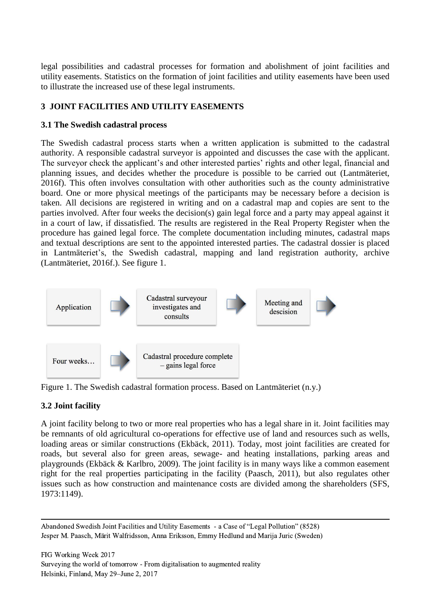legal possibilities and cadastral processes for formation and abolishment of joint facilities and utility easements. Statistics on the formation of joint facilities and utility easements have been used to illustrate the increased use of these legal instruments.

## **3 JOINT FACILITIES AND UTILITY EASEMENTS**

#### **3.1 The Swedish cadastral process**

The Swedish cadastral process starts when a written application is submitted to the cadastral authority. A responsible cadastral surveyor is appointed and discusses the case with the applicant. The surveyor check the applicant's and other interested parties' rights and other legal, financial and planning issues, and decides whether the procedure is possible to be carried out (Lantmäteriet, 2016f). This often involves consultation with other authorities such as the county administrative board. One or more physical meetings of the participants may be necessary before a decision is taken. All decisions are registered in writing and on a cadastral map and copies are sent to the parties involved. After four weeks the decision(s) gain legal force and a party may appeal against it in a court of law, if dissatisfied. The results are registered in the Real Property Register when the procedure has gained legal force. The complete documentation including minutes, cadastral maps and textual descriptions are sent to the appointed interested parties. The cadastral dossier is placed in Lantmäteriet's, the Swedish cadastral, mapping and land registration authority, archive (Lantmäteriet, 2016f.). See figure 1.



Figure 1. The Swedish cadastral formation process. Based on Lantmäteriet (n.y.)

## **3.2 Joint facility**

A joint facility belong to two or more real properties who has a legal share in it. Joint facilities may be remnants of old agricultural co-operations for effective use of land and resources such as wells, loading areas or similar constructions (Ekbäck, 2011). Today, most joint facilities are created for roads, but several also for green areas, sewage- and heating installations, parking areas and playgrounds (Ekbäck & Karlbro, 2009). The joint facility is in many ways like a common easement right for the real properties participating in the facility (Paasch, 2011), but also regulates other issues such as how construction and maintenance costs are divided among the shareholders (SFS, 1973:1149).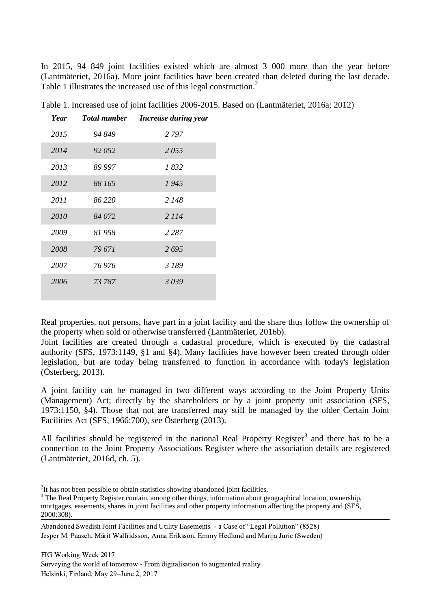In 2015, 94 849 joint facilities existed which are almost 3 000 more than the year before (Lantmäteriet, 2016a). More joint facilities have been created than deleted during the last decade. Table 1 illustrates the increased use of this legal construction.<sup>2</sup>

| 1 ear | 1 olal number | Increase auring year |
|-------|---------------|----------------------|
| 2015  | 94 849        | 2 7 9 7              |
| 2014  | 92 052        | 2055                 |
| 2013  | 89 997        | 1832                 |
| 2012  | 88 165        | 1945                 |
| 2011  | 86 220        | 2 148                |
| 2010  | 84 072        | 2 1 1 4              |
| 2009  | 81 958        | 2 2 8 7              |
| 2008  | 79 671        | 2695                 |
| 2007  | 76 976        | 3 189                |
| 2006  | 73 787        | 3039                 |

*Year Total number Increase during year*

Table 1. Increased use of joint facilities 2006-2015. Based on (Lantmäteriet, 2016a; 2012)

Real properties, not persons, have part in a joint facility and the share thus follow the ownership of the property when sold or otherwise transferred (Lantmäteriet, 2016b).

Joint facilities are created through a cadastral procedure, which is executed by the cadastral authority (SFS, 1973:1149, §1 and §4). Many facilities have however been created through older legislation, but are today being transferred to function in accordance with today's legislation (Österberg, 2013).

A joint facility can be managed in two different ways according to the Joint Property Units (Management) Act; directly by the shareholders or by a joint property unit association (SFS, 1973:1150, §4). Those that not are transferred may still be managed by the older Certain Joint Facilities Act (SFS, 1966:700), see Österberg (2013).

All facilities should be registered in the national Real Property Register<sup>3</sup> and there has to be a connection to the Joint Property Associations Register where the association details are registered (Lantmäteriet, 2016d, ch. 5).

-

 $2$ It has not been possible to obtain statistics showing abandoned joint facilities.

<sup>&</sup>lt;sup>3</sup> The Real Property Register contain, among other things, information about geographical location, ownership, mortgages, easements, shares in joint facilities and other property information affecting the property and (SFS, 2000:308).

Abandoned Swedish Joint Facilities and Utility Easements - a Case of "Legal Pollution" (8528) Jesper M. Paasch, Märit Walfridsson, Anna Eriksson, Emmy Hedlund and Marija Juric (Sweden)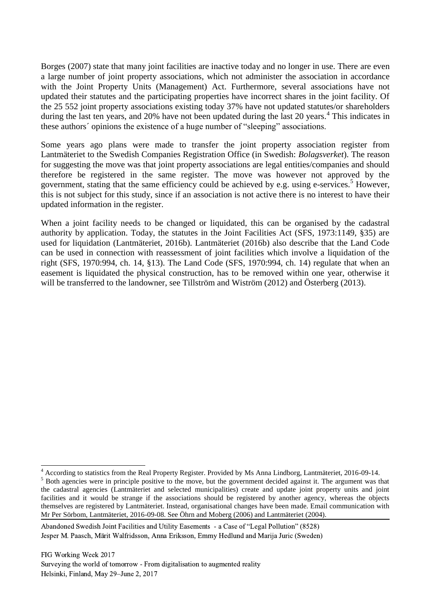Borges (2007) state that many joint facilities are inactive today and no longer in use. There are even a large number of joint property associations, which not administer the association in accordance with the Joint Property Units (Management) Act. Furthermore, several associations have not updated their statutes and the participating properties have incorrect shares in the joint facility. Of the 25 552 joint property associations existing today 37% have not updated statutes/or shareholders during the last ten years, and 20% have not been updated during the last 20 years.<sup>4</sup> This indicates in these authors´ opinions the existence of a huge number of "sleeping" associations.

Some years ago plans were made to transfer the joint property association register from Lantmäteriet to the Swedish Companies Registration Office (in Swedish: *Bolagsverket*). The reason for suggesting the move was that joint property associations are legal entities/companies and should therefore be registered in the same register. The move was however not approved by the government, stating that the same efficiency could be achieved by e.g. using e-services.<sup>5</sup> However, this is not subject for this study, since if an association is not active there is no interest to have their updated information in the register.

When a joint facility needs to be changed or liquidated, this can be organised by the cadastral authority by application. Today, the statutes in the Joint Facilities Act (SFS, 1973:1149, §35) are used for liquidation (Lantmäteriet, 2016b). Lantmäteriet (2016b) also describe that the Land Code can be used in connection with reassessment of joint facilities which involve a liquidation of the right (SFS, 1970:994, ch. 14, §13). The Land Code (SFS, 1970:994, ch. 14) regulate that when an easement is liquidated the physical construction, has to be removed within one year, otherwise it will be transferred to the landowner, see Tillström and Wiström (2012) and Österberg (2013).

<sup>-</sup> $4$  According to statistics from the Real Property Register. Provided by Ms Anna Lindborg, Lantmäteriet, 2016-09-14.

<sup>&</sup>lt;sup>5</sup> Both agencies were in principle positive to the move, but the government decided against it. The argument was that the cadastral agencies (Lantmäteriet and selected municipalities) create and update joint property units and joint facilities and it would be strange if the associations should be registered by another agency, whereas the objects themselves are registered by Lantmäteriet. Instead, organisational changes have been made. Email communication with Mr Per Sörbom, Lantmäteriet, 2016-09-08. See Öhrn and Moberg (2006) and Lantmäteriet (2004).

Abandoned Swedish Joint Facilities and Utility Easements - a Case of "Legal Pollution" (8528) Jesper M. Paasch, Märit Walfridsson, Anna Eriksson, Emmy Hedlund and Marija Juric (Sweden)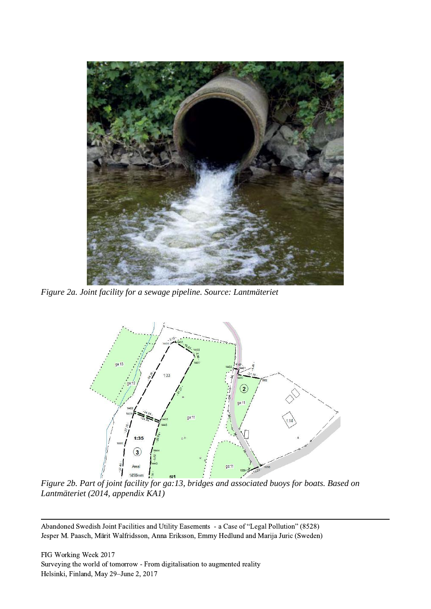

*Figure 2a. Joint facility for a sewage pipeline. Source: Lantmäteriet*



*Figure 2b. Part of joint facility for ga:13, bridges and associated buoys for boats. Based on Lantmäteriet (2014, appendix KA1)*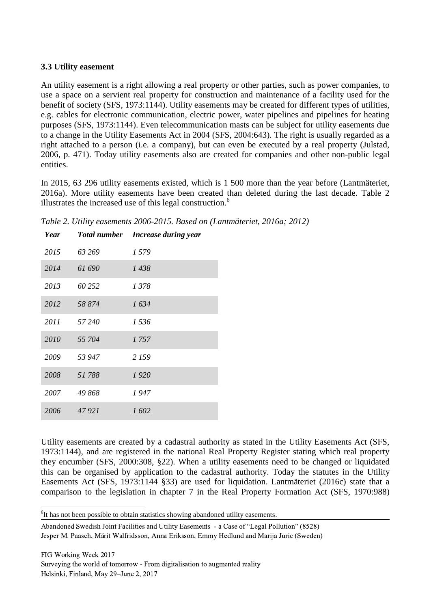## **3.3 Utility easement**

An utility easement is a right allowing a real property or other parties, such as power companies, to use a space on a servient real property for construction and maintenance of a facility used for the benefit of society (SFS, 1973:1144). Utility easements may be created for different types of utilities, e.g. cables for electronic communication, electric power, water pipelines and pipelines for heating purposes (SFS, 1973:1144). Even telecommunication masts can be subject for utility easements due to a change in the Utility Easements Act in 2004 (SFS, 2004:643). The right is usually regarded as a right attached to a person (i.e. a company), but can even be executed by a real property (Julstad, 2006, p. 471). Today utility easements also are created for companies and other non-public legal entities.

In 2015, 63 296 utility easements existed, which is 1 500 more than the year before (Lantmäteriet, 2016a). More utility easements have been created than deleted during the last decade. Table 2 illustrates the increased use of this legal construction.<sup>6</sup>

*Table 2. Utility easements 2006-2015. Based on (Lantmäteriet, 2016a; 2012)*

| Year |        | Total number Increase during year |
|------|--------|-----------------------------------|
| 2015 | 63 269 | 1579                              |
| 2014 | 61 690 | 1438                              |
| 2013 | 60 252 | 1378                              |
| 2012 | 58 874 | 1634                              |
| 2011 | 57 240 | 1 536                             |
| 2010 | 55 704 | 1757                              |
| 2009 | 53 947 | 2 159                             |
| 2008 | 51788  | 1920                              |
| 2007 | 49 868 | 1 947                             |
| 2006 | 47921  | 1602                              |
|      |        |                                   |

Utility easements are created by a cadastral authority as stated in the Utility Easements Act (SFS, 1973:1144), and are registered in the national Real Property Register stating which real property they encumber (SFS, 2000:308, §22). When a utility easements need to be changed or liquidated this can be organised by application to the cadastral authority. Today the statutes in the Utility Easements Act (SFS, 1973:1144 §33) are used for liquidation. Lantmäteriet (2016c) state that a comparison to the legislation in chapter 7 in the Real Property Formation Act (SFS, 1970:988)

-<sup>6</sup>It has not been possible to obtain statistics showing abandoned utility easements.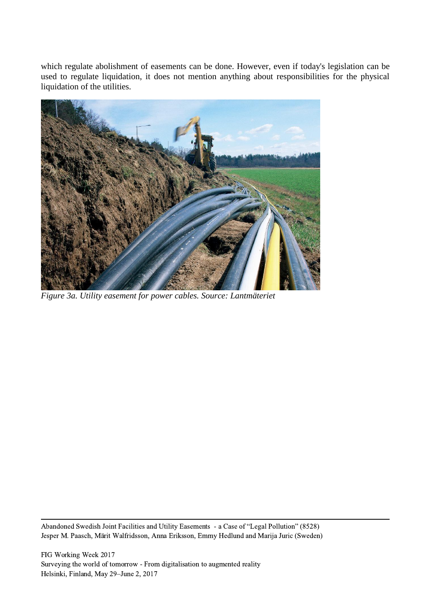which regulate abolishment of easements can be done. However, even if today's legislation can be used to regulate liquidation, it does not mention anything about responsibilities for the physical liquidation of the utilities.



*Figure 3a. Utility easement for power cables. Source: Lantmäteriet*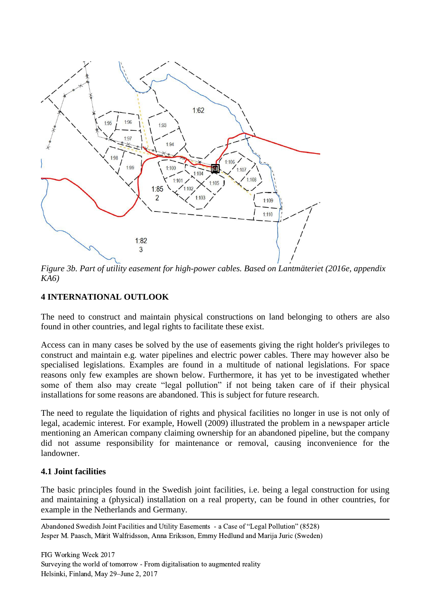

*Figure 3b. Part of utility easement for high-power cables. Based on Lantmäteriet (2016e, appendix KA6)*

## **4 INTERNATIONAL OUTLOOK**

The need to construct and maintain physical constructions on land belonging to others are also found in other countries, and legal rights to facilitate these exist.

Access can in many cases be solved by the use of easements giving the right holder's privileges to construct and maintain e.g. water pipelines and electric power cables. There may however also be specialised legislations. Examples are found in a multitude of national legislations. For space reasons only few examples are shown below. Furthermore, it has yet to be investigated whether some of them also may create "legal pollution" if not being taken care of if their physical installations for some reasons are abandoned. This is subject for future research.

The need to regulate the liquidation of rights and physical facilities no longer in use is not only of legal, academic interest. For example, Howell (2009) illustrated the problem in a newspaper article mentioning an American company claiming ownership for an abandoned pipeline, but the company did not assume responsibility for maintenance or removal, causing inconvenience for the landowner.

#### **4.1 Joint facilities**

The basic principles found in the Swedish joint facilities, i.e. being a legal construction for using and maintaining a (physical) installation on a real property, can be found in other countries, for example in the Netherlands and Germany.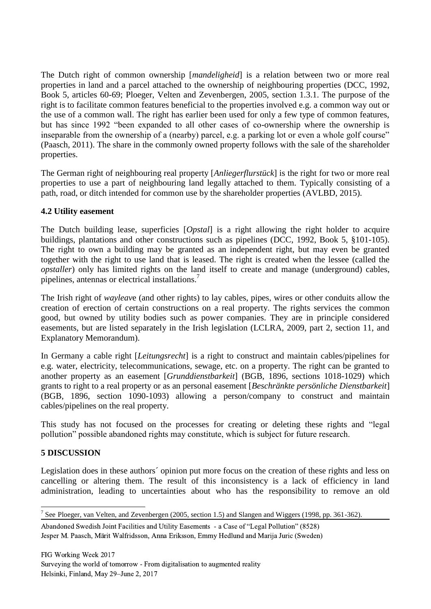The Dutch right of common ownership [*mandeligheid*] is a relation between two or more real properties in land and a parcel attached to the ownership of neighbouring properties (DCC, 1992, Book 5, articles 60-69; Ploeger, Velten and Zevenbergen, 2005, section 1.3.1. The purpose of the right is to facilitate common features beneficial to the properties involved e.g. a common way out or the use of a common wall. The right has earlier been used for only a few type of common features, but has since 1992 "been expanded to all other cases of co-ownership where the ownership is inseparable from the ownership of a (nearby) parcel, e.g. a parking lot or even a whole golf course" (Paasch, 2011). The share in the commonly owned property follows with the sale of the shareholder properties.

The German right of neighbouring real property [*Anliegerflurstück*] is the right for two or more real properties to use a part of neighbouring land legally attached to them. Typically consisting of a path, road, or ditch intended for common use by the shareholder properties (AVLBD, 2015).

## **4.2 Utility easement**

The Dutch building lease, superficies [*Opstal*] is a right allowing the right holder to acquire buildings, plantations and other constructions such as pipelines (DCC, 1992, Book 5, §101-105). The right to own a building may be granted as an independent right, but may even be granted together with the right to use land that is leased. The right is created when the lessee (called the *opstaller*) only has limited rights on the land itself to create and manage (underground) cables, pipelines, antennas or electrical installations.<sup>7</sup>

The Irish right of *wayleav*e (and other rights) to lay cables, pipes, wires or other conduits allow the creation of erection of certain constructions on a real property. The rights services the common good, but owned by utility bodies such as power companies. They are in principle considered easements, but are listed separately in the Irish legislation (LCLRA, 2009, part 2, section 11, and Explanatory Memorandum).

In Germany a cable right [*Leitungsrecht*] is a right to construct and maintain cables/pipelines for e.g. water, electricity, telecommunications, sewage, etc. on a property. The right can be granted to another property as an easement [*Grunddienstbarkeit*] (BGB, 1896, sections 1018-1029) which grants to right to a real property or as an personal easement [*Beschränkte persönliche Dienstbarkeit*] (BGB, 1896, section 1090-1093) allowing a person/company to construct and maintain cables/pipelines on the real property.

This study has not focused on the processes for creating or deleting these rights and "legal pollution" possible abandoned rights may constitute, which is subject for future research.

## **5 DISCUSSION**

-

Legislation does in these authors´ opinion put more focus on the creation of these rights and less on cancelling or altering them. The result of this inconsistency is a lack of efficiency in land administration, leading to uncertainties about who has the responsibility to remove an old

<sup>&</sup>lt;sup>7</sup> See Ploeger, van Velten, and Zevenbergen (2005, section 1.5) and Slangen and Wiggers (1998, pp. 361-362).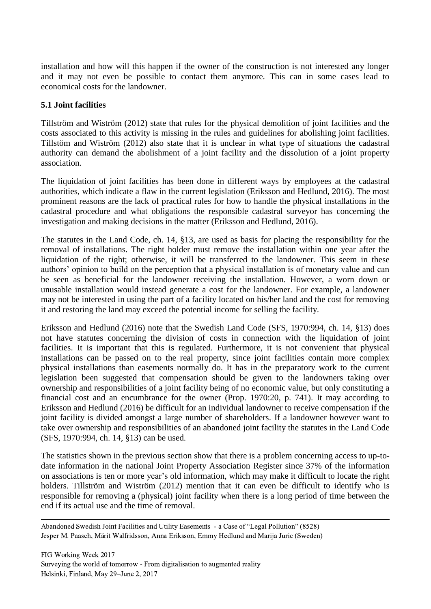installation and how will this happen if the owner of the construction is not interested any longer and it may not even be possible to contact them anymore. This can in some cases lead to economical costs for the landowner.

#### **5.1 Joint facilities**

Tillström and Wiström (2012) state that rules for the physical demolition of joint facilities and the costs associated to this activity is missing in the rules and guidelines for abolishing joint facilities. Tillstöm and Wiström (2012) also state that it is unclear in what type of situations the cadastral authority can demand the abolishment of a joint facility and the dissolution of a joint property association.

The liquidation of joint facilities has been done in different ways by employees at the cadastral authorities, which indicate a flaw in the current legislation (Eriksson and Hedlund, 2016). The most prominent reasons are the lack of practical rules for how to handle the physical installations in the cadastral procedure and what obligations the responsible cadastral surveyor has concerning the investigation and making decisions in the matter (Eriksson and Hedlund, 2016).

The statutes in the Land Code, ch. 14, §13, are used as basis for placing the responsibility for the removal of installations. The right holder must remove the installation within one year after the liquidation of the right; otherwise, it will be transferred to the landowner. This seem in these authors' opinion to build on the perception that a physical installation is of monetary value and can be seen as beneficial for the landowner receiving the installation. However, a worn down or unusable installation would instead generate a cost for the landowner. For example, a landowner may not be interested in using the part of a facility located on his/her land and the cost for removing it and restoring the land may exceed the potential income for selling the facility.

Eriksson and Hedlund (2016) note that the Swedish Land Code (SFS, 1970:994, ch. 14, §13) does not have statutes concerning the division of costs in connection with the liquidation of joint facilities. It is important that this is regulated. Furthermore, it is not convenient that physical installations can be passed on to the real property, since joint facilities contain more complex physical installations than easements normally do. It has in the preparatory work to the current legislation been suggested that compensation should be given to the landowners taking over ownership and responsibilities of a joint facility being of no economic value, but only constituting a financial cost and an encumbrance for the owner (Prop. 1970:20, p. 741). It may according to Eriksson and Hedlund (2016) be difficult for an individual landowner to receive compensation if the joint facility is divided amongst a large number of shareholders. If a landowner however want to take over ownership and responsibilities of an abandoned joint facility the statutes in the Land Code (SFS, 1970:994, ch. 14, §13) can be used.

The statistics shown in the previous section show that there is a problem concerning access to up-todate information in the national Joint Property Association Register since 37% of the information on associations is ten or more year's old information, which may make it difficult to locate the right holders. Tillström and Wiström (2012) mention that it can even be difficult to identify who is responsible for removing a (physical) joint facility when there is a long period of time between the end if its actual use and the time of removal.

Abandoned Swedish Joint Facilities and Utility Easements - a Case of "Legal Pollution" (8528) Jesper M. Paasch, Märit Walfridsson, Anna Eriksson, Emmy Hedlund and Marija Juric (Sweden)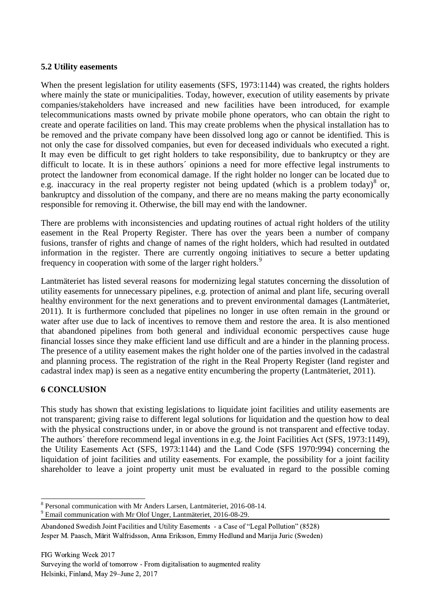#### **5.2 Utility easements**

When the present legislation for utility easements (SFS, 1973:1144) was created, the rights holders where mainly the state or municipalities. Today, however, execution of utility easements by private companies/stakeholders have increased and new facilities have been introduced, for example telecommunications masts owned by private mobile phone operators, who can obtain the right to create and operate facilities on land. This may create problems when the physical installation has to be removed and the private company have been dissolved long ago or cannot be identified. This is not only the case for dissolved companies, but even for deceased individuals who executed a right. It may even be difficult to get right holders to take responsibility, due to bankruptcy or they are difficult to locate. It is in these authors´ opinions a need for more effective legal instruments to protect the landowner from economical damage. If the right holder no longer can be located due to e.g. inaccuracy in the real property register not being updated (which is a problem today) $8$  or, bankruptcy and dissolution of the company, and there are no means making the party economically responsible for removing it. Otherwise, the bill may end with the landowner.

There are problems with inconsistencies and updating routines of actual right holders of the utility easement in the Real Property Register. There has over the years been a number of company fusions, transfer of rights and change of names of the right holders, which had resulted in outdated information in the register. There are currently ongoing initiatives to secure a better updating frequency in cooperation with some of the larger right holders.<sup>9</sup>

Lantmäteriet has listed several reasons for modernizing legal statutes concerning the dissolution of utility easements for unnecessary pipelines, e.g. protection of animal and plant life, securing overall healthy environment for the next generations and to prevent environmental damages (Lantmäteriet, 2011). It is furthermore concluded that pipelines no longer in use often remain in the ground or water after use due to lack of incentives to remove them and restore the area. It is also mentioned that abandoned pipelines from both general and individual economic perspectives cause huge financial losses since they make efficient land use difficult and are a hinder in the planning process. The presence of a utility easement makes the right holder one of the parties involved in the cadastral and planning process. The registration of the right in the Real Property Register (land register and cadastral index map) is seen as a negative entity encumbering the property (Lantmäteriet, 2011).

## **6 CONCLUSION**

This study has shown that existing legislations to liquidate joint facilities and utility easements are not transparent; giving raise to different legal solutions for liquidation and the question how to deal with the physical constructions under, in or above the ground is not transparent and effective today. The authors´ therefore recommend legal inventions in e.g. the Joint Facilities Act (SFS, 1973:1149), the Utility Easements Act (SFS, 1973:1144) and the Land Code (SFS 1970:994) concerning the liquidation of joint facilities and utility easements. For example, the possibility for a joint facility shareholder to leave a joint property unit must be evaluated in regard to the possible coming

<sup>-</sup>8 Personal communication with Mr Anders Larsen, Lantmäteriet, 2016-08-14.

<sup>9</sup> Email communication with Mr Olof Unger, Lantmäteriet, 2016-08-29.

Abandoned Swedish Joint Facilities and Utility Easements - a Case of "Legal Pollution" (8528) Jesper M. Paasch, Märit Walfridsson, Anna Eriksson, Emmy Hedlund and Marija Juric (Sweden)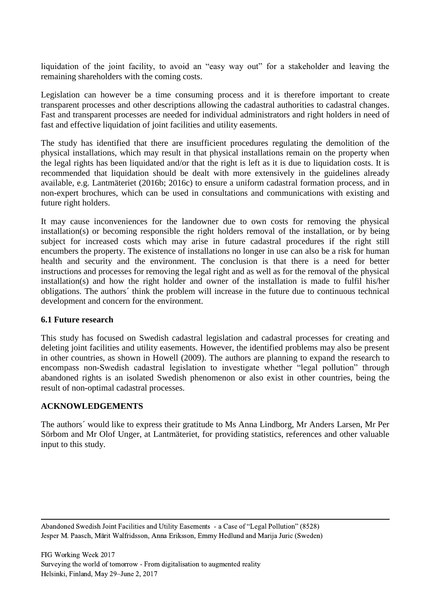liquidation of the joint facility, to avoid an "easy way out" for a stakeholder and leaving the remaining shareholders with the coming costs.

Legislation can however be a time consuming process and it is therefore important to create transparent processes and other descriptions allowing the cadastral authorities to cadastral changes. Fast and transparent processes are needed for individual administrators and right holders in need of fast and effective liquidation of joint facilities and utility easements.

The study has identified that there are insufficient procedures regulating the demolition of the physical installations, which may result in that physical installations remain on the property when the legal rights has been liquidated and/or that the right is left as it is due to liquidation costs. It is recommended that liquidation should be dealt with more extensively in the guidelines already available, e.g. Lantmäteriet (2016b; 2016c) to ensure a uniform cadastral formation process, and in non-expert brochures, which can be used in consultations and communications with existing and future right holders.

It may cause inconveniences for the landowner due to own costs for removing the physical installation(s) or becoming responsible the right holders removal of the installation, or by being subject for increased costs which may arise in future cadastral procedures if the right still encumbers the property. The existence of installations no longer in use can also be a risk for human health and security and the environment. The conclusion is that there is a need for better instructions and processes for removing the legal right and as well as for the removal of the physical installation(s) and how the right holder and owner of the installation is made to fulfil his/her obligations. The authors´ think the problem will increase in the future due to continuous technical development and concern for the environment.

#### **6.1 Future research**

This study has focused on Swedish cadastral legislation and cadastral processes for creating and deleting joint facilities and utility easements. However, the identified problems may also be present in other countries, as shown in Howell (2009). The authors are planning to expand the research to encompass non-Swedish cadastral legislation to investigate whether "legal pollution" through abandoned rights is an isolated Swedish phenomenon or also exist in other countries, being the result of non-optimal cadastral processes.

## **ACKNOWLEDGEMENTS**

The authors´ would like to express their gratitude to Ms Anna Lindborg, Mr Anders Larsen, Mr Per Sörbom and Mr Olof Unger, at Lantmäteriet, for providing statistics, references and other valuable input to this study.

Abandoned Swedish Joint Facilities and Utility Easements - a Case of "Legal Pollution" (8528) Jesper M. Paasch, Märit Walfridsson, Anna Eriksson, Emmy Hedlund and Marija Juric (Sweden)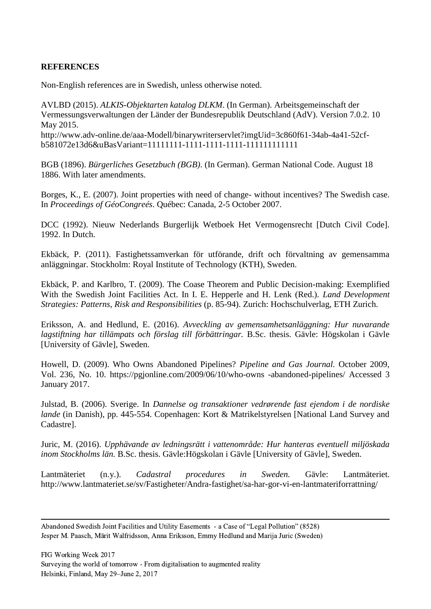## **REFERENCES**

Non-English references are in Swedish, unless otherwise noted.

AVLBD (2015). *ALKIS-Objektarten katalog DLKM*. (In German). Arbeitsgemeinschaft der Vermessungsverwaltungen der Länder der Bundesrepublik Deutschland (AdV). Version 7.0.2. 10 May 2015. http://www.adv-online.de/aaa-Modell/binarywriterservlet?imgUid=3c860f61-34ab-4a41-52cfb581072e13d6&uBasVariant=11111111-1111-1111-1111-111111111111

BGB (1896). *Bürgerliches Gesetzbuch (BGB)*. (In German). German National Code. August 18 1886. With later amendments.

Borges, K., E. (2007). Joint properties with need of change- without incentives? The Swedish case. In *Proceedings of GéoCongreés*. Québec: Canada, 2-5 October 2007.

DCC (1992). Nieuw Nederlands Burgerlijk Wetboek Het Vermogensrecht [Dutch Civil Code]. 1992. In Dutch.

Ekbäck, P. (2011). Fastighetssamverkan för utförande, drift och förvaltning av gemensamma anläggningar. Stockholm: Royal Institute of Technology (KTH), Sweden.

Ekbäck, P. and Karlbro, T. (2009). The Coase Theorem and Public Decision-making: Exemplified With the Swedish Joint Facilities Act. In I. E. Hepperle and H. Lenk (Red.). *Land Development Strategies: Patterns, Risk and Responsibilities* (p. 85-94). Zurich: Hochschulverlag, ETH Zurich.

Eriksson, A. and Hedlund, E. (2016). *Avveckling av gemensamhetsanläggning: Hur nuvarande lagstiftning har tillämpats och förslag till förbättringar.* B.Sc. thesis. Gävle: Högskolan i Gävle [University of Gävle], Sweden.

Howell, D. (2009). Who Owns Abandoned Pipelines? *Pipeline and Gas Journal.* October 2009, Vol. 236, No. 10. [https://pgjonline.com/2009/06/10/who-owns -abandoned-pipelines/](https://pgjonline.com/2009/06/10/who-owns-abandoned-pipelines/) Accessed 3 January 2017.

Julstad, B. (2006). Sverige. In *Dannelse og transaktioner vedrørende fast ejendom i de nordiske lande* (in Danish), pp. 445-554. Copenhagen: Kort & Matrikelstyrelsen [National Land Survey and Cadastre].

Juric, M. (2016). *Upphävande av ledningsrätt i vattenområde: Hur hanteras eventuell miljöskada inom Stockholms län.* B.Sc. thesis. Gävle:Högskolan i Gävle [University of Gävle], Sweden.

Lantmäteriet (n.y.). *Cadastral procedures in Sweden.* Gävle: Lantmäteriet. <http://www.lantmateriet.se/sv/Fastigheter/Andra-fastighet/sa-har-gor-vi-en-lantmateriforrattning/>

Abandoned Swedish Joint Facilities and Utility Easements - a Case of "Legal Pollution" (8528) Jesper M. Paasch, Märit Walfridsson, Anna Eriksson, Emmy Hedlund and Marija Juric (Sweden)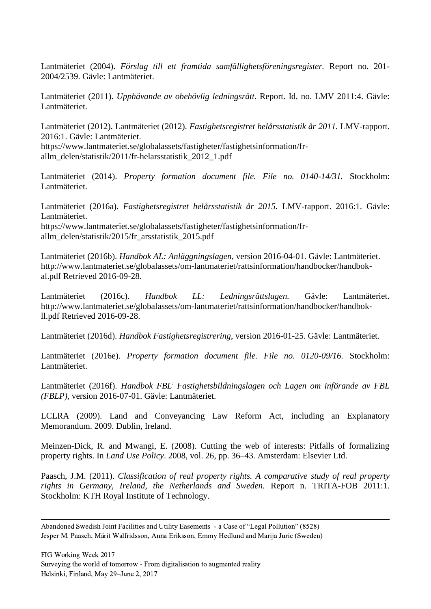Lantmäteriet (2004). *Förslag till ett framtida samfällighetsföreningsregister.* Report no. 201- 2004/2539. Gävle: Lantmäteriet.

Lantmäteriet (2011). *Upphävande av obehövlig ledningsrätt*. Report. Id. no. LMV 2011:4. Gävle: Lantmäteriet.

Lantmäteriet (2012). Lantmäteriet (2012). *Fastighetsregistret helårsstatistik år 2011.* LMV-rapport. 2016:1. Gävle: Lantmäteriet. https://www.lantmateriet.se/globalassets/fastigheter/fastighetsinformation/frallm\_delen/statistik/2011/fr-helarsstatistik\_2012\_1.pdf

Lantmäteriet (2014). *Property formation document file. File no. 0140-14/31.* Stockholm: Lantmäteriet.

Lantmäteriet (2016a). *Fastighetsregistret helårsstatistik år 2015.* LMV-rapport. 2016:1. Gävle: Lantmäteriet. [https://www.lantmateriet.se/globalassets/fastigheter/fastighetsinformation/fr](https://www.lantmateriet.se/globalassets/fastigheter/fastighetsinformation/fr-allm_delen/statistik/2015/fr_arsstatistik_2015.pdf)[allm\\_delen/statistik/2015/fr\\_arsstatistik\\_2015.pdf](https://www.lantmateriet.se/globalassets/fastigheter/fastighetsinformation/fr-allm_delen/statistik/2015/fr_arsstatistik_2015.pdf)

Lantmäteriet (2016b). *Handbok AL: Anläggningslagen,* version 2016-04-01. Gävle: Lantmäteriet. [http://www.lantmateriet.se/globalassets/om-lantmateriet/rattsinformation/handbocker/handbok](http://www.lantmateriet.se/globalassets/om-lantmateriet/rattsinformation/handbocker/handbok-al.pdf)[al.pdf](http://www.lantmateriet.se/globalassets/om-lantmateriet/rattsinformation/handbocker/handbok-al.pdf) Retrieved 2016-09-28.

Lantmäteriet (2016c). *Handbok LL: Ledningsrättslagen.* Gävle: Lantmäteriet. [http://www.lantmateriet.se/globalassets/om-lantmateriet/rattsinformation/handbocker/handbok](http://www.lantmateriet.se/globalassets/om-lantmateriet/rattsinformation/handbocker/handbok-ll.pdf)[ll.pdf](http://www.lantmateriet.se/globalassets/om-lantmateriet/rattsinformation/handbocker/handbok-ll.pdf) Retrieved 2016-09-28.

Lantmäteriet (2016d). *Handbok Fastighetsregistrering*, version 2016-01-25. Gävle: Lantmäteriet.

Lantmäteriet (2016e). *Property formation document file. File no. 0120-09/16.* Stockholm: Lantmäteriet.

Lantmäteriet (2016f). *Handbok FBL: Fastighetsbildningslagen och Lagen om införande av FBL (FBLP)*, version 2016-07-01. Gävle: Lantmäteriet.

LCLRA (2009). Land and Conveyancing Law Reform Act, including an Explanatory Memorandum. 2009. Dublin, Ireland.

Meinzen-Dick, R. and Mwangi, E. (2008). Cutting the web of interests: Pitfalls of formalizing property rights. In *Land Use Policy*. 2008, vol. 26, pp. 36–43. Amsterdam: Elsevier Ltd.

Paasch, J.M. (2011). *Classification of real property rights. A comparative study of real property rights in Germany, Ireland, the Netherlands and Sweden.* Report n. TRITA-FOB 2011:1. Stockholm: KTH Royal Institute of Technology.

Abandoned Swedish Joint Facilities and Utility Easements - a Case of "Legal Pollution" (8528) Jesper M. Paasch, Märit Walfridsson, Anna Eriksson, Emmy Hedlund and Marija Juric (Sweden)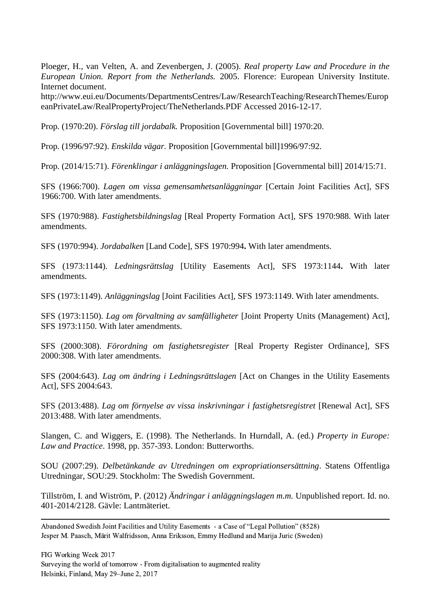Ploeger, H., van Velten, A. and Zevenbergen, J. (2005). *Real property Law and Procedure in the European Union. Report from the Netherlands.* 2005. Florence: European University Institute. Internet document.

http://www.eui.eu/Documents/DepartmentsCentres/Law/ResearchTeaching/ResearchThemes/Europ eanPrivateLaw/RealPropertyProject/TheNetherlands.PDF Accessed 2016-12-17.

Prop. (1970:20). *Förslag till jordabalk.* Proposition [Governmental bill] 1970:20.

Prop. (1996/97:92). *Enskilda vägar.* Proposition [Governmental bill]1996/97:92.

Prop. (2014/15:71). *Förenklingar i anläggningslagen.* Proposition [Governmental bill] 2014/15:71.

SFS (1966:700). *Lagen om vissa gemensamhetsanläggningar* [Certain Joint Facilities Act], SFS 1966:700. With later amendments.

SFS (1970:988). *Fastighetsbildningslag* [Real Property Formation Act], SFS 1970:988. With later amendments.

SFS (1970:994). *Jordabalken* [Land Code], SFS 1970:994**.** With later amendments.

SFS (1973:1144). *Ledningsrättslag* [Utility Easements Act], SFS 1973:1144**.** With later amendments.

SFS (1973:1149). *Anläggningslag* [Joint Facilities Act], SFS 1973:1149. With later amendments.

SFS (1973:1150). *Lag om förvaltning av samfälligheter* [Joint Property Units (Management) Act], SFS 1973:1150. With later amendments.

SFS (2000:308). *Förordning om fastighetsregister* [Real Property Register Ordinance], SFS 2000:308. With later amendments.

SFS (2004:643). *Lag om ändring i Ledningsrättslagen* [Act on Changes in the Utility Easements Act], SFS 2004:643.

SFS (2013:488). *Lag om förnyelse av vissa inskrivningar i fastighetsregistret* [Renewal Act], SFS 2013:488. With later amendments.

Slangen, C. and Wiggers, E. (1998). The Netherlands. In Hurndall, A. (ed.) *Property in Europe: Law and Practice*. 1998, pp. 357-393. London: Butterworths.

SOU (2007:29). *Delbetänkande av Utredningen om expropriationsersättning*. Statens Offentliga Utredningar, SOU:29. Stockholm: The Swedish Government.

Tillström, I. and Wiström, P. (2012) *Ändringar i anläggningslagen m.m.* Unpublished report. Id. no. 401-2014/2128. Gävle: Lantmäteriet.

Abandoned Swedish Joint Facilities and Utility Easements - a Case of "Legal Pollution" (8528) Jesper M. Paasch, Märit Walfridsson, Anna Eriksson, Emmy Hedlund and Marija Juric (Sweden)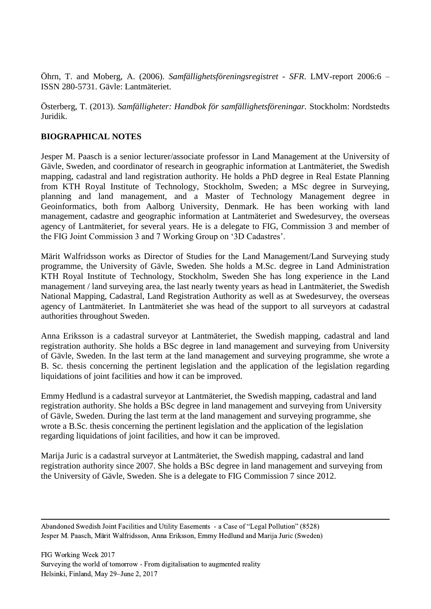Öhrn, T. and Moberg, A. (2006). *Samfällighetsföreningsregistret - SFR*. LMV-report 2006:6 – ISSN 280-5731. Gävle: Lantmäteriet.

Österberg, T. (2013). *Samfälligheter: Handbok för samfällighetsföreningar.* Stockholm: Nordstedts Juridik.

## **BIOGRAPHICAL NOTES**

Jesper M. Paasch is a senior lecturer/associate professor in Land Management at the University of Gävle, Sweden, and coordinator of research in geographic information at Lantmäteriet, the Swedish mapping, cadastral and land registration authority. He holds a PhD degree in Real Estate Planning from KTH Royal Institute of Technology, Stockholm, Sweden; a MSc degree in Surveying, planning and land management, and a Master of Technology Management degree in Geoinformatics, both from Aalborg University, Denmark. He has been working with land management, cadastre and geographic information at Lantmäteriet and Swedesurvey, the overseas agency of Lantmäteriet, for several years. He is a delegate to FIG, Commission 3 and member of the FIG Joint Commission 3 and 7 Working Group on '3D Cadastres'.

Märit Walfridsson works as Director of Studies for the Land Management/Land Surveying study programme, the University of Gävle, Sweden. She holds a M.Sc. degree in Land Administration KTH Royal Institute of Technology, Stockholm, Sweden She has long experience in the Land management / land surveying area, the last nearly twenty years as head in Lantmäteriet, the Swedish National Mapping, Cadastral, Land Registration Authority as well as at Swedesurvey, the overseas agency of Lantmäteriet. In Lantmäteriet she was head of the support to all surveyors at cadastral authorities throughout Sweden.

Anna Eriksson is a cadastral surveyor at Lantmäteriet, the Swedish mapping, cadastral and land registration authority. She holds a BSc degree in land management and surveying from University of Gävle, Sweden. In the last term at the land management and surveying programme, she wrote a B. Sc. thesis concerning the pertinent legislation and the application of the legislation regarding liquidations of joint facilities and how it can be improved.

Emmy Hedlund is a cadastral surveyor at Lantmäteriet, the Swedish mapping, cadastral and land registration authority. She holds a BSc degree in land management and surveying from University of Gävle, Sweden. During the last term at the land management and surveying programme, she wrote a B.Sc. thesis concerning the pertinent legislation and the application of the legislation regarding liquidations of joint facilities, and how it can be improved.

Marija Juric is a cadastral surveyor at Lantmäteriet, the Swedish mapping, cadastral and land registration authority since 2007. She holds a BSc degree in land management and surveying from the University of Gävle, Sweden. She is a delegate to FIG Commission 7 since 2012.

Abandoned Swedish Joint Facilities and Utility Easements - a Case of "Legal Pollution" (8528) Jesper M. Paasch, Märit Walfridsson, Anna Eriksson, Emmy Hedlund and Marija Juric (Sweden)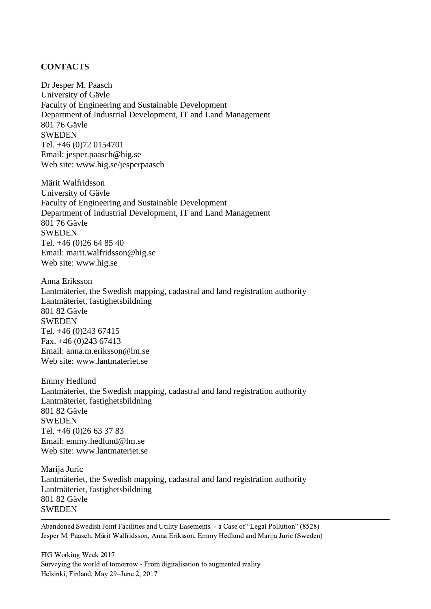#### **CONTACTS**

Dr Jesper M. Paasch University of Gävle Faculty of Engineering and Sustainable Development Department of Industrial Development, IT and Land Management 801 76 Gävle SWEDEN Tel. +46 (0)72 [0154701](tel:072-0154701) Email: jesper.paasch@hig.se Web site: [www.hig.se/jesperpaasch](http://www.hig.se/jesperpaasch)

Märit Walfridsson University of Gävle Faculty of Engineering and Sustainable Development Department of Industrial Development, IT and Land Management 801 76 Gävle **SWEDEN** Tel. +46 (0)26 64 85 40 Email: marit.walfridsson@hig.se Web site: [www.hig.se](http://www.hig.se/)

Anna Eriksson Lantmäteriet, the Swedish mapping, cadastral and land registration authority Lantmäteriet, fastighetsbildning 801 82 Gävle SWEDEN Tel. +46 (0)243 67415 Fax. +46 (0)243 67413 Email: [anna.m.eriksson@lm.se](mailto:anna.m.eriksson@lm.se) Web site: [www.lantmateriet.se](http://www.lantmäteriet.se/)

Emmy Hedlund Lantmäteriet, the Swedish mapping, cadastral and land registration authority Lantmäteriet, fastighetsbildning 801 82 Gävle SWEDEN Tel. +46 (0)26 63 37 83 Email: emmy.hedlund@lm.se Web site: [www.lantmateriet.se](http://www.lantmäteriet.se/)

Marija Juric Lantmäteriet, the Swedish mapping, cadastral and land registration authority Lantmäteriet, fastighetsbildning 801 82 Gävle **SWEDEN**